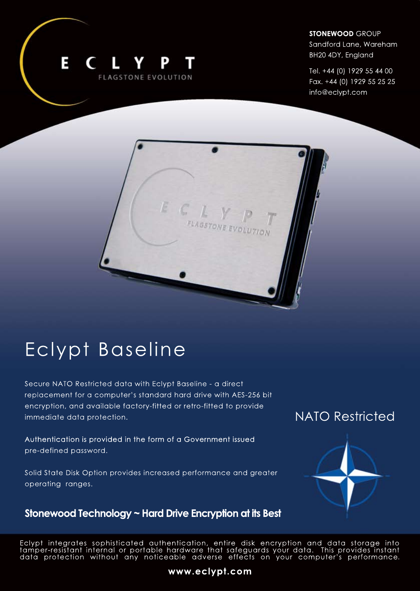

#### **STONEWOOD** GROUP

Sandford Lane, Wareham BH20 4DY, England

Tel.+44(0)1929554400 Fax. +44 (0) 1929 55 25 25 info@eclypt.com



Secure NATO Restricted data with Eclypt Baseline - a direct replacement for a computer's standard hard drive with AES-256 bit encryption, and available factory-fitted or retro-fitted to provide immediate data protection.

 $E C$ 

Authentication is provided in the form of a Government issued pre-defined password.

Solid State Disk Option provides increased performance and greater operating ranges.

### Stonewood Technology ~ Hard Drive Encryption at its Best

## **NATO Restricted**



Eclypt integrates sophisticated authentication, entire disk encryption and data storage into tamper-resistant internal or portable hardware that safeguards your data. This provides instant data protection without any noticeable adverse effects on your computer's performance.